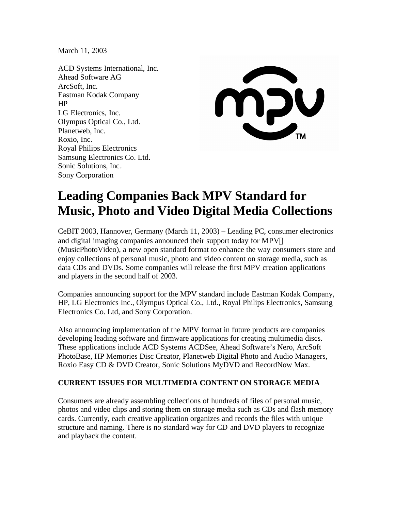March 11, 2003

ACD Systems International, Inc. Ahead Software AG ArcSoft, Inc. Eastman Kodak Company HP LG Electronics, Inc. Olympus Optical Co., Ltd. Planetweb, Inc. Roxio, Inc. Royal Philips Electronics Samsung Electronics Co. Ltd. Sonic Solutions, Inc. Sony Corporation



# **Leading Companies Back MPV Standard for Music, Photo and Video Digital Media Collections**

CeBIT 2003, Hannover, Germany (March 11, 2003) – Leading PC, consumer electronics and digital imaging companies announced their support today for MPV (MusicPhotoVideo), a new open standard format to enhance the way consumers store and enjoy collections of personal music, photo and video content on storage media, such as data CDs and DVDs. Some companies will release the first MPV creation applications and players in the second half of 2003.

Companies announcing support for the MPV standard include Eastman Kodak Company, HP, LG Electronics Inc., Olympus Optical Co., Ltd., Royal Philips Electronics, Samsung Electronics Co. Ltd, and Sony Corporation.

Also announcing implementation of the MPV format in future products are companies developing leading software and firmware applications for creating multimedia discs. These applications include ACD Systems ACDSee, Ahead Software's Nero, ArcSoft PhotoBase, HP Memories Disc Creator, Planetweb Digital Photo and Audio Managers, Roxio Easy CD & DVD Creator, Sonic Solutions MyDVD and RecordNow Max.

# **CURRENT ISSUES FOR MULTIMEDIA CONTENT ON STORAGE MEDIA**

Consumers are already assembling collections of hundreds of files of personal music, photos and video clips and storing them on storage media such as CDs and flash memory cards. Currently, each creative application organizes and records the files with unique structure and naming. There is no standard way for CD and DVD players to recognize and playback the content.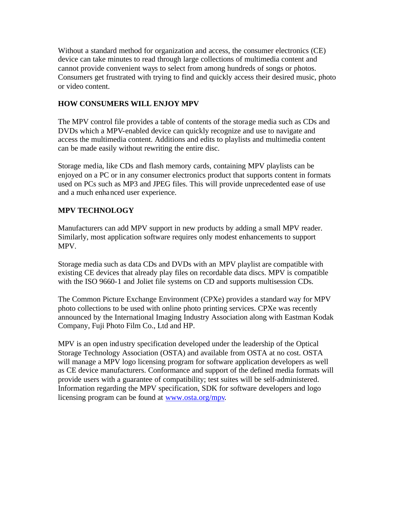Without a standard method for organization and access, the consumer electronics (CE) device can take minutes to read through large collections of multimedia content and cannot provide convenient ways to select from among hundreds of songs or photos. Consumers get frustrated with trying to find and quickly access their desired music, photo or video content.

### **HOW CONSUMERS WILL ENJOY MPV**

The MPV control file provides a table of contents of the storage media such as CDs and DVDs which a MPV-enabled device can quickly recognize and use to navigate and access the multimedia content. Additions and edits to playlists and multimedia content can be made easily without rewriting the entire disc.

Storage media, like CDs and flash memory cards, containing MPV playlists can be enjoyed on a PC or in any consumer electronics product that supports content in formats used on PCs such as MP3 and JPEG files. This will provide unprecedented ease of use and a much enhanced user experience.

# **MPV TECHNOLOGY**

Manufacturers can add MPV support in new products by adding a small MPV reader. Similarly, most application software requires only modest enhancements to support MPV.

Storage media such as data CDs and DVDs with an MPV playlist are compatible with existing CE devices that already play files on recordable data discs. MPV is compatible with the ISO 9660-1 and Joliet file systems on CD and supports multisession CDs.

The Common Picture Exchange Environment (CPXe) provides a standard way for MPV photo collections to be used with online photo printing services. CPXe was recently announced by the International Imaging Industry Association along with Eastman Kodak Company, Fuji Photo Film Co., Ltd and HP.

MPV is an open industry specification developed under the leadership of the Optical Storage Technology Association (OSTA) and available from OSTA at no cost. OSTA will manage a MPV logo licensing program for software application developers as well as CE device manufacturers. Conformance and support of the defined media formats will provide users with a guarantee of compatibility; test suites will be self-administered. Information regarding the MPV specification, SDK for software developers and logo licensing program can be found at www.osta.org/mpv.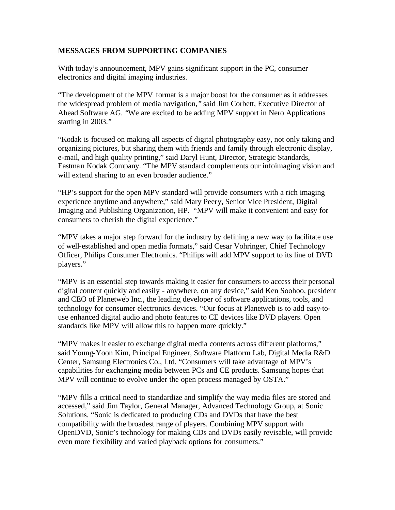#### **MESSAGES FROM SUPPORTING COMPANIES**

With today's announcement, MPV gains significant support in the PC, consumer electronics and digital imaging industries.

"The development of the MPV format is a major boost for the consumer as it addresses the widespread problem of media navigation, " said Jim Corbett, Executive Director of Ahead Software AG. "We are excited to be adding MPV support in Nero Applications starting in 2003."

"Kodak is focused on making all aspects of digital photography easy, not only taking and organizing pictures, but sharing them with friends and family through electronic display, e-mail, and high quality printing," said Daryl Hunt, Director, Strategic Standards, Eastman Kodak Company. "The MPV standard complements our infoimaging vision and will extend sharing to an even broader audience."

"HP's support for the open MPV standard will provide consumers with a rich imaging experience anytime and anywhere," said Mary Peery, Senior Vice President, Digital Imaging and Publishing Organization, HP. "MPV will make it convenient and easy for consumers to cherish the digital experience."

"MPV takes a major step forward for the industry by defining a new way to facilitate use of well-established and open media formats," said Cesar Vohringer, Chief Technology Officer, Philips Consumer Electronics. "Philips will add MPV support to its line of DVD players."

"MPV is an essential step towards making it easier for consumers to access their personal digital content quickly and easily - anywhere, on any device," said Ken Soohoo, president and CEO of Planetweb Inc., the leading developer of software applications, tools, and technology for consumer electronics devices. "Our focus at Planetweb is to add easy-touse enhanced digital audio and photo features to CE devices like DVD players. Open standards like MPV will allow this to happen more quickly."

"MPV makes it easier to exchange digital media contents across different platforms," said Young-Yoon Kim, Principal Engineer, Software Platform Lab, Digital Media R&D Center, Samsung Electronics Co., Ltd. "Consumers will take advantage of MPV's capabilities for exchanging media between PCs and CE products. Samsung hopes that MPV will continue to evolve under the open process managed by OSTA."

"MPV fills a critical need to standardize and simplify the way media files are stored and accessed," said Jim Taylor, General Manager, Advanced Technology Group, at Sonic Solutions. "Sonic is dedicated to producing CDs and DVDs that have the best compatibility with the broadest range of players. Combining MPV support with OpenDVD, Sonic's technology for making CDs and DVDs easily revisable, will provide even more flexibility and varied playback options for consumers."